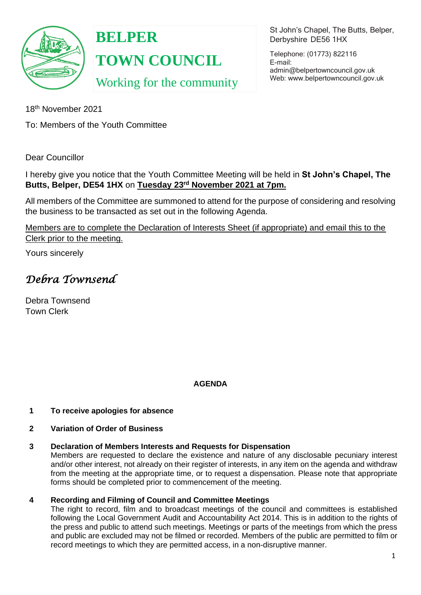

**BELPER TOWN COUNCIL**

Working for the community

St John's Chapel, The Butts, Belper, Derbyshire DE56 1HX

Telephone: (01773) 822116 E-mail: [admin@belpertowncouncil.gov.uk](mailto:admin@belpertowncouncil.gov.uk) Web: [www.belpertowncouncil.gov.uk](http://www.belpertowncouncil.gov.uk/)

18th November 2021

To: Members of the Youth Committee

Dear Councillor

I hereby give you notice that the Youth Committee Meeting will be held in **St John's Chapel, The Butts, Belper, DE54 1HX** on **Tuesday 23rd November 2021 at 7pm.** 

All members of the Committee are summoned to attend for the purpose of considering and resolving the business to be transacted as set out in the following Agenda.

Members are to complete the Declaration of Interests Sheet (if appropriate) and email this to the Clerk prior to the meeting.

Yours sincerely

# *Debra Townsend*

Debra Townsend Town Clerk

## **AGENDA**

### **1 To receive apologies for absence**

### **2 Variation of Order of Business**

### **3 Declaration of Members Interests and Requests for Dispensation**

Members are requested to declare the existence and nature of any disclosable pecuniary interest and/or other interest, not already on their register of interests, in any item on the agenda and withdraw from the meeting at the appropriate time, or to request a dispensation. Please note that appropriate forms should be completed prior to commencement of the meeting.

### **4 Recording and Filming of Council and Committee Meetings**

The right to record, film and to broadcast meetings of the council and committees is established following the Local Government Audit and Accountability Act 2014. This is in addition to the rights of the press and public to attend such meetings. Meetings or parts of the meetings from which the press and public are excluded may not be filmed or recorded. Members of the public are permitted to film or record meetings to which they are permitted access, in a non-disruptive manner.